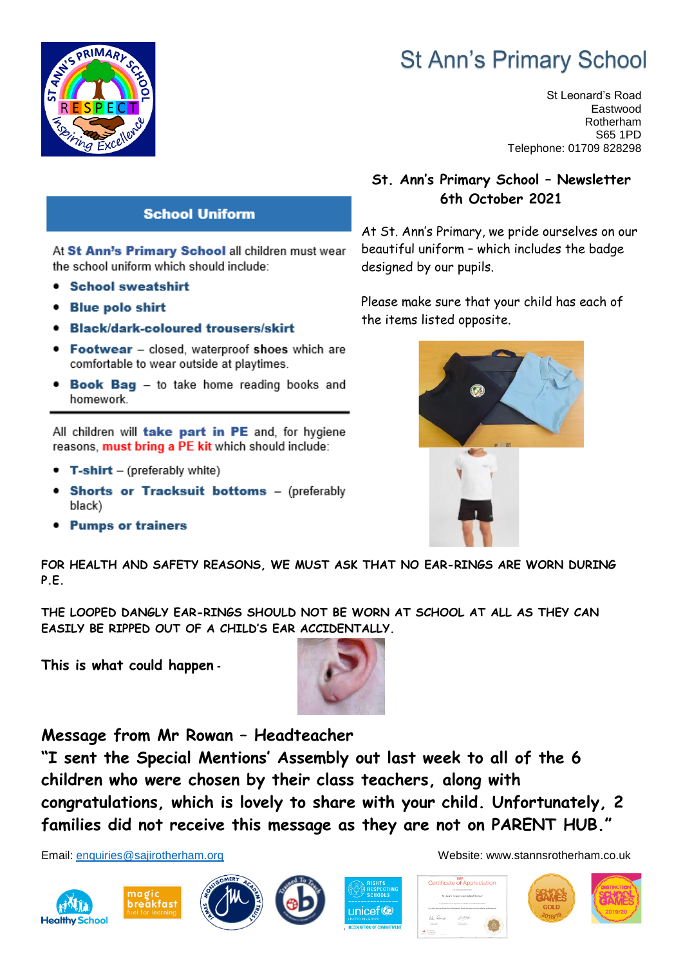

# **St Ann's Primary School**

St Leonard's Road Eastwood Rotherham S65 1PD Telephone: 01709 828298

#### **St. Ann's Primary School – Newsletter 6th October 2021**

At St. Ann's Primary, we pride ourselves on our beautiful uniform – which includes the badge designed by our pupils.

Please make sure that your child has each of the items listed opposite.



**School Uniform** 

At St Ann's Primary School all children must wear the school uniform which should include:

- **School sweatshirt**
- **Blue polo shirt** ٠
- **Black/dark-coloured trousers/skirt**
- Footwear closed, waterproof shoes which are comfortable to wear outside at playtimes.
- **Book Bag** to take home reading books and homework.

All children will take part in PE and, for hygiene reasons, must bring a PE kit which should include:

- $\bullet$  T-shirt (preferably white)
- Shorts or Tracksuit bottoms (preferably black)
- Pumps or trainers

**FOR HEALTH AND SAFETY REASONS, WE MUST ASK THAT NO EAR-RINGS ARE WORN DURING P.E.**

**THE LOOPED DANGLY EAR-RINGS SHOULD NOT BE WORN AT SCHOOL AT ALL AS THEY CAN EASILY BE RIPPED OUT OF A CHILD'S EAR ACCIDENTALLY.**

**This is what could happen -**



**Message from Mr Rowan – Headteacher**

**"I sent the Special Mentions' Assembly out last week to all of the 6 children who were chosen by their class teachers, along with congratulations, which is lovely to share with your child. Unfortunately, 2 families did not receive this message as they are not on PARENT HUB."**









Email: [enquiries@sajirotherham.org](mailto:enquiries@sajirotherham.org) Website: www.stannsrotherham.co.uk



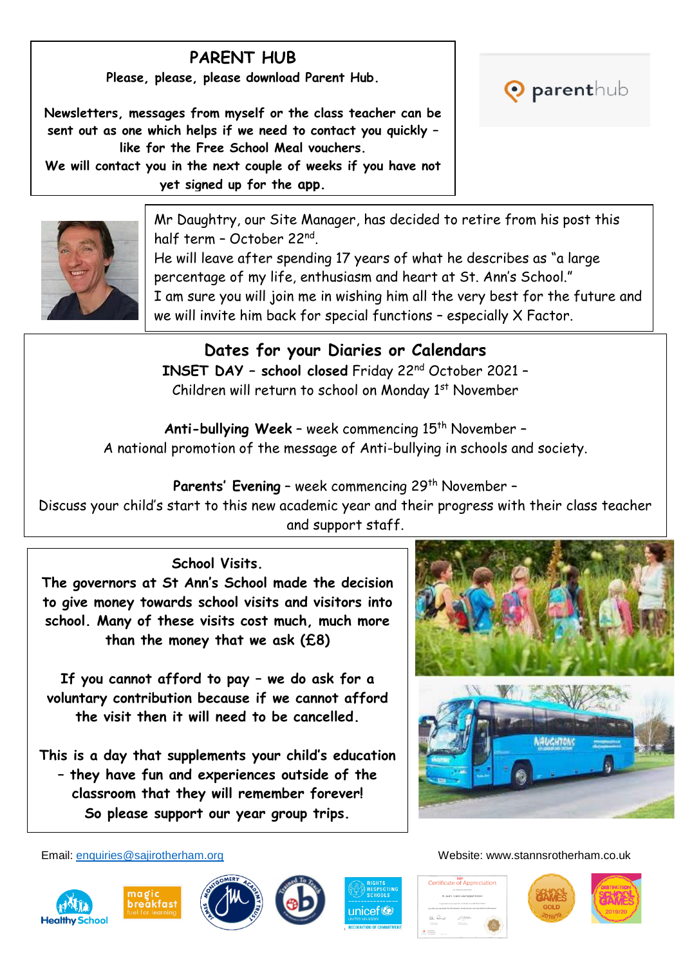# **PARENT HUB**

**Please, please, please download Parent Hub.**

**Newsletters, messages from myself or the class teacher can be sent out as one which helps if we need to contact you quickly – like for the Free School Meal vouchers. We will contact you in the next couple of weeks if you have not yet signed up for the app.**





Mr Daughtry, our Site Manager, has decided to retire from his post this half term – October 22nd .

He will leave after spending 17 years of what he describes as "a large percentage of my life, enthusiasm and heart at St. Ann's School." I am sure you will join me in wishing him all the very best for the future and we will invite him back for special functions – especially X Factor.

## **Dates for your Diaries or Calendars INSET DAY – school closed** Friday 22nd October 2021 –

Children will return to school on Monday 1st November

Anti-bullying Week - week commencing 15<sup>th</sup> November -A national promotion of the message of Anti-bullying in schools and society.

**Parents' Evening - week commencing 29<sup>th</sup> November -**

Discuss your child's start to this new academic year and their progress with their class teacher and support staff.

### **School Visits.**

**The governors at St Ann's School made the decision to give money towards school visits and visitors into school. Many of these visits cost much, much more than the money that we ask (£8)**

**If you cannot afford to pay – we do ask for a voluntary contribution because if we cannot afford the visit then it will need to be cancelled.**

**This is a day that supplements your child's education – they have fun and experiences outside of the classroom that they will remember forever! So please support our year group trips.**



Email: [enquiries@sajirotherham.org](mailto:enquiries@sajirotherham.org) Website: www.stannsrotherham.co.uk









Certificate of Appreciation